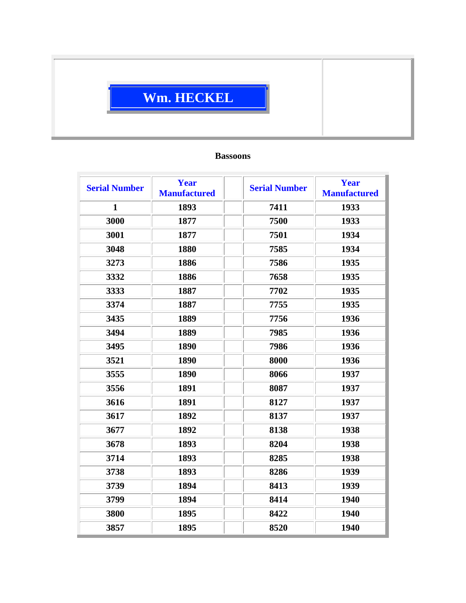## **Wm. HECKEL**

## **Bassoons**

| <b>Serial Number</b> | <b>Year</b><br><b>Manufactured</b> | <b>Serial Number</b> | Year<br><b>Manufactured</b> |
|----------------------|------------------------------------|----------------------|-----------------------------|
| $\mathbf{1}$         | 1893                               | 7411                 | 1933                        |
| 3000                 | 1877                               | 7500                 | 1933                        |
| 3001                 | 1877                               | 7501                 | 1934                        |
| 3048                 | 1880                               | 7585                 | 1934                        |
| 3273                 | 1886                               | 7586                 | 1935                        |
| 3332                 | 1886                               | 7658                 | 1935                        |
| 3333                 | 1887                               | 7702                 | 1935                        |
| 3374                 | 1887                               | 7755                 | 1935                        |
| 3435                 | 1889                               | 7756                 | 1936                        |
| 3494                 | 1889                               | 7985                 | 1936                        |
| 3495                 | 1890                               | 7986                 | 1936                        |
| 3521                 | 1890                               | 8000                 | 1936                        |
| 3555                 | 1890                               | 8066                 | 1937                        |
| 3556                 | 1891                               | 8087                 | 1937                        |
| 3616                 | 1891                               | 8127                 | 1937                        |
| 3617                 | 1892                               | 8137                 | 1937                        |
| 3677                 | 1892                               | 8138                 | 1938                        |
| 3678                 | 1893                               | 8204                 | 1938                        |
| 3714                 | 1893                               | 8285                 | 1938                        |
| 3738                 | 1893                               | 8286                 | 1939                        |
| 3739                 | 1894                               | 8413                 | 1939                        |
| 3799                 | 1894                               | 8414                 | 1940                        |
| 3800                 | 1895                               | 8422                 | 1940                        |
| 3857                 | 1895                               | 8520                 | 1940                        |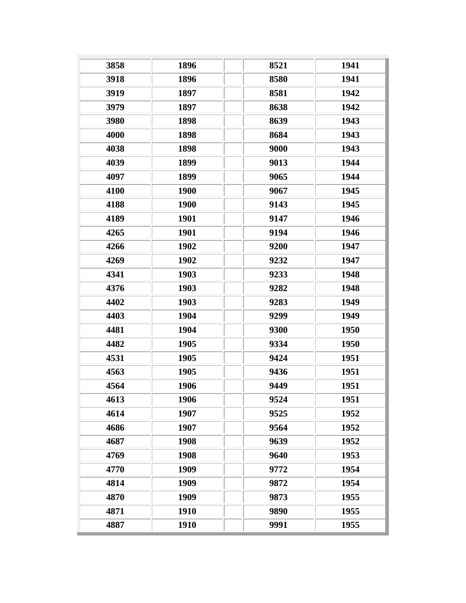| 3858 | 1896 | 8521 | 1941 |
|------|------|------|------|
| 3918 | 1896 | 8580 | 1941 |
| 3919 | 1897 | 8581 | 1942 |
| 3979 | 1897 | 8638 | 1942 |
| 3980 | 1898 | 8639 | 1943 |
| 4000 | 1898 | 8684 | 1943 |
| 4038 | 1898 | 9000 | 1943 |
| 4039 | 1899 | 9013 | 1944 |
| 4097 | 1899 | 9065 | 1944 |
| 4100 | 1900 | 9067 | 1945 |
| 4188 | 1900 | 9143 | 1945 |
| 4189 | 1901 | 9147 | 1946 |
| 4265 | 1901 | 9194 | 1946 |
| 4266 | 1902 | 9200 | 1947 |
| 4269 | 1902 | 9232 | 1947 |
| 4341 | 1903 | 9233 | 1948 |
| 4376 | 1903 | 9282 | 1948 |
| 4402 | 1903 | 9283 | 1949 |
| 4403 | 1904 | 9299 | 1949 |
| 4481 | 1904 | 9300 | 1950 |
| 4482 | 1905 | 9334 | 1950 |
| 4531 | 1905 | 9424 | 1951 |
| 4563 | 1905 | 9436 | 1951 |
| 4564 | 1906 | 9449 | 1951 |
| 4613 | 1906 | 9524 | 1951 |
| 4614 | 1907 | 9525 | 1952 |
| 4686 | 1907 | 9564 | 1952 |
| 4687 | 1908 | 9639 | 1952 |
| 4769 | 1908 | 9640 | 1953 |
| 4770 | 1909 | 9772 | 1954 |
| 4814 | 1909 | 9872 | 1954 |
| 4870 | 1909 | 9873 | 1955 |
| 4871 | 1910 | 9890 | 1955 |
| 4887 | 1910 | 9991 | 1955 |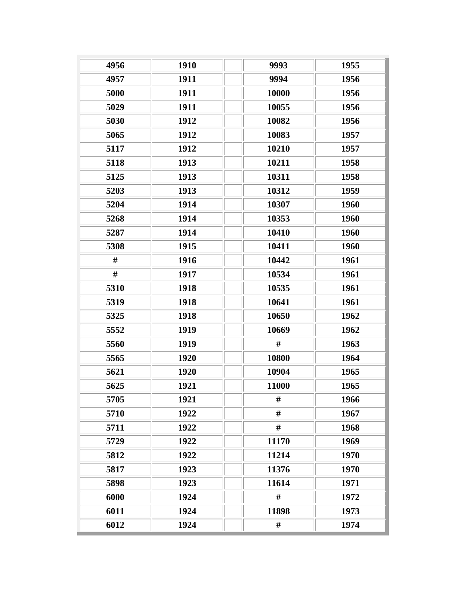| 4956 | 1910 | 9993  | 1955 |
|------|------|-------|------|
| 4957 | 1911 | 9994  | 1956 |
| 5000 | 1911 | 10000 | 1956 |
| 5029 | 1911 | 10055 | 1956 |
| 5030 | 1912 | 10082 | 1956 |
| 5065 | 1912 | 10083 | 1957 |
| 5117 | 1912 | 10210 | 1957 |
| 5118 | 1913 | 10211 | 1958 |
| 5125 | 1913 | 10311 | 1958 |
| 5203 | 1913 | 10312 | 1959 |
| 5204 | 1914 | 10307 | 1960 |
| 5268 | 1914 | 10353 | 1960 |
| 5287 | 1914 | 10410 | 1960 |
| 5308 | 1915 | 10411 | 1960 |
| #    | 1916 | 10442 | 1961 |
| #    | 1917 | 10534 | 1961 |
| 5310 | 1918 | 10535 | 1961 |
| 5319 | 1918 | 10641 | 1961 |
| 5325 | 1918 | 10650 | 1962 |
| 5552 | 1919 | 10669 | 1962 |
| 5560 | 1919 | #     | 1963 |
| 5565 | 1920 | 10800 | 1964 |
| 5621 | 1920 | 10904 | 1965 |
| 5625 | 1921 | 11000 | 1965 |
| 5705 | 1921 | #     | 1966 |
| 5710 | 1922 | #     | 1967 |
| 5711 | 1922 | #     | 1968 |
| 5729 | 1922 | 11170 | 1969 |
| 5812 | 1922 | 11214 | 1970 |
| 5817 | 1923 | 11376 | 1970 |
| 5898 | 1923 | 11614 | 1971 |
| 6000 | 1924 | #     | 1972 |
| 6011 | 1924 | 11898 | 1973 |
| 6012 | 1924 | #     | 1974 |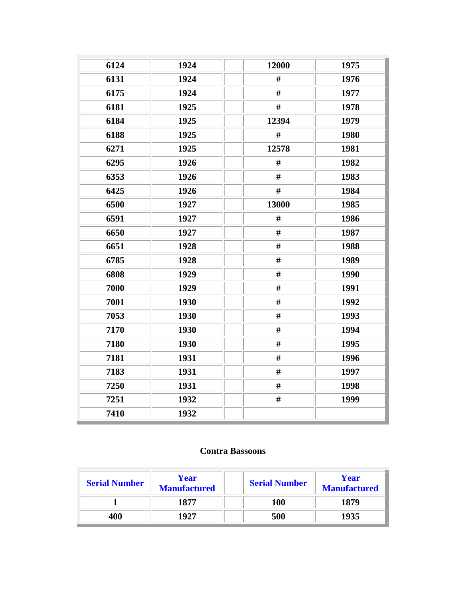| 6124 | 1924 | 12000 | 1975 |
|------|------|-------|------|
| 6131 | 1924 | #     | 1976 |
| 6175 | 1924 | $\#$  | 1977 |
| 6181 | 1925 | #     | 1978 |
| 6184 | 1925 | 12394 | 1979 |
| 6188 | 1925 | $\#$  | 1980 |
| 6271 | 1925 | 12578 | 1981 |
| 6295 | 1926 | #     | 1982 |
| 6353 | 1926 | #     | 1983 |
| 6425 | 1926 | $\#$  | 1984 |
| 6500 | 1927 | 13000 | 1985 |
| 6591 | 1927 | #     | 1986 |
| 6650 | 1927 | $\#$  | 1987 |
| 6651 | 1928 | $\#$  | 1988 |
| 6785 | 1928 | $\#$  | 1989 |
| 6808 | 1929 | $\#$  | 1990 |
| 7000 | 1929 | $\#$  | 1991 |
| 7001 | 1930 | $\#$  | 1992 |
| 7053 | 1930 | $\#$  | 1993 |
| 7170 | 1930 | $\#$  | 1994 |
| 7180 | 1930 | $\#$  | 1995 |
| 7181 | 1931 | $\#$  | 1996 |
| 7183 | 1931 | $\#$  | 1997 |
| 7250 | 1931 | $\#$  | 1998 |
| 7251 | 1932 | #     | 1999 |
| 7410 | 1932 |       |      |

## **Contra Bassoons**

| <b>Serial Number</b> | Year<br><b>Manufactured</b> | <b>Serial Number</b> | Year<br><b>Manufactured</b> |
|----------------------|-----------------------------|----------------------|-----------------------------|
|                      | 1877                        | 100                  | 1879                        |
| 400                  | 1927                        | 500                  | 1935                        |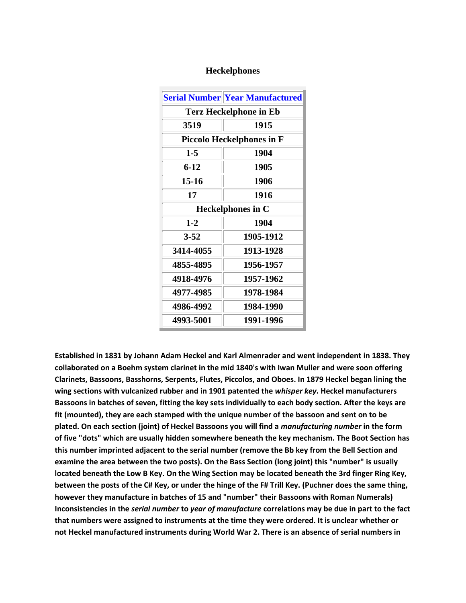| Heckelphones |  |
|--------------|--|
|--------------|--|

|                               | <b>Serial Number Year Manufactured</b> |  |  |
|-------------------------------|----------------------------------------|--|--|
| <b>Terz Heckelphone in Eb</b> |                                        |  |  |
| 3519                          | 1915                                   |  |  |
|                               | <b>Piccolo Heckelphones in F</b>       |  |  |
| $1 - 5$                       | 1904                                   |  |  |
| $6 - 12$                      | 1905                                   |  |  |
| $15 - 16$                     | 1906                                   |  |  |
| 17                            | 1916                                   |  |  |
|                               | <b>Heckelphones in C</b>               |  |  |
| $1-2$                         | 1904                                   |  |  |
| $3 - 52$                      | 1905-1912                              |  |  |
| 3414-4055                     | 1913-1928                              |  |  |
| 4855-4895                     | 1956-1957                              |  |  |
| 4918-4976                     | 1957-1962                              |  |  |
| 4977-4985                     | 1978-1984                              |  |  |
| 4986-4992                     | 1984-1990                              |  |  |
| 4993-5001                     | 1991-1996                              |  |  |

**Established in 1831 by Johann Adam Heckel and Karl Almenrader and went independent in 1838. They collaborated on a Boehm system clarinet in the mid 1840's with Iwan Muller and were soon offering Clarinets, Bassoons, Basshorns, Serpents, Flutes, Piccolos, and Oboes. In 1879 Heckel began lining the wing sections with vulcanized rubber and in 1901 patented the** *whisper key***. Heckel manufacturers Bassoons in batches of seven, fitting the key sets individually to each body section. After the keys are fit (mounted), they are each stamped with the unique number of the bassoon and sent on to be plated. On each section (joint) of Heckel Bassoons you will find a** *manufacturing number* **in the form of five "dots" which are usually hidden somewhere beneath the key mechanism. The Boot Section has this number imprinted adjacent to the serial number (remove the Bb key from the Bell Section and examine the area between the two posts). On the Bass Section (long joint) this "number" is usually located beneath the Low B Key. On the Wing Section may be located beneath the 3rd finger Ring Key, between the posts of the C# Key, or under the hinge of the F# Trill Key. (Puchner does the same thing, however they manufacture in batches of 15 and "number" their Bassoons with Roman Numerals) Inconsistencies in the** *serial number* **to** *year of manufacture* **correlations may be due in part to the fact that numbers were assigned to instruments at the time they were ordered. It is unclear whether or not Heckel manufactured instruments during World War 2. There is an absence of serial numbers in**